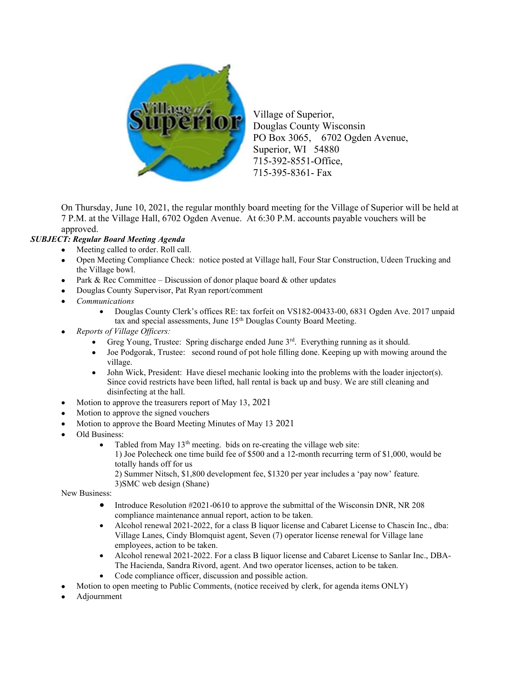

Village of Superior, Douglas County Wisconsin PO Box 3065, 6702 Ogden Avenue, Superior, WI 54880 715-392-8551-Office, 715-395-8361- Fax

On Thursday, June 10, 2021, the regular monthly board meeting for the Village of Superior will be held at 7 P.M. at the Village Hall, 6702 Ogden Avenue. At 6:30 P.M. accounts payable vouchers will be approved.

## SUBJECT: Regular Board Meeting Agenda

- Meeting called to order. Roll call.
- Open Meeting Compliance Check: notice posted at Village hall, Four Star Construction, Udeen Trucking and the Village bowl.
- Park & Rec Committee Discussion of donor plaque board  $\&$  other updates
- Douglas County Supervisor, Pat Ryan report/comment
- Communications
	- Douglas County Clerk's offices RE: tax forfeit on VS182-00433-00, 6831 Ogden Ave. 2017 unpaid tax and special assessments, June 15th Douglas County Board Meeting.
- Reports of Village Officers:
	- Greg Young, Trustee: Spring discharge ended June  $3<sup>rd</sup>$ . Everything running as it should.
	- Joe Podgorak, Trustee: second round of pot hole filling done. Keeping up with mowing around the village.
	- John Wick, President: Have diesel mechanic looking into the problems with the loader injector(s). Since covid restricts have been lifted, hall rental is back up and busy. We are still cleaning and disinfecting at the hall.
- Motion to approve the treasurers report of May 13, 2021
- Motion to approve the signed vouchers
- Motion to approve the Board Meeting Minutes of May 13 2021
- Old Business:
	- Tabled from May  $13<sup>th</sup>$  meeting. bids on re-creating the village web site: 1) Joe Polecheck one time build fee of \$500 and a 12-month recurring term of \$1,000, would be totally hands off for us
		- 2) Summer Nitsch, \$1,800 development fee, \$1320 per year includes a 'pay now' feature. 3)SMC web design (Shane)

New Business:

- Introduce Resolution #2021-0610 to approve the submittal of the Wisconsin DNR, NR 208 compliance maintenance annual report, action to be taken.
- Alcohol renewal 2021-2022, for a class B liquor license and Cabaret License to Chascin Inc., dba: Village Lanes, Cindy Blomquist agent, Seven (7) operator license renewal for Village lane employees, action to be taken.
- Alcohol renewal 2021-2022. For a class B liquor license and Cabaret License to Sanlar Inc., DBA-The Hacienda, Sandra Rivord, agent. And two operator licenses, action to be taken.
- Code compliance officer, discussion and possible action.
- Motion to open meeting to Public Comments, (notice received by clerk, for agenda items ONLY)
- Adjournment